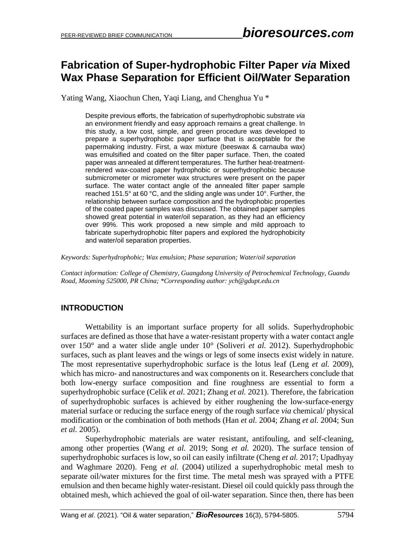# **Fabrication of Super-hydrophobic Filter Paper** *via* **Mixed Wax Phase Separation for Efficient Oil/Water Separation**

Yating Wang, Xiaochun Chen, Yaqi Liang, and Chenghua Yu \*

Despite previous efforts, the fabrication of superhydrophobic substrate *via* an environment friendly and easy approach remains a great challenge. In this study, a low cost, simple, and green procedure was developed to prepare a superhydrophobic paper surface that is acceptable for the papermaking industry. First, a wax mixture (beeswax & carnauba wax) was emulsified and coated on the filter paper surface. Then, the coated paper was annealed at different temperatures. The further heat-treatmentrendered wax-coated paper hydrophobic or superhydrophobic because submicrometer or micrometer wax structures were present on the paper surface. The water contact angle of the annealed filter paper sample reached 151.5° at 60 °C, and the sliding angle was under 10°. Further, the relationship between surface composition and the hydrophobic properties of the coated paper samples was discussed. The obtained paper samples showed great potential in water/oil separation, as they had an efficiency over 99%. This work proposed a new simple and mild approach to fabricate superhydrophobic filter papers and explored the hydrophobicity and water/oil separation properties.

*Keywords: Superhydrophobic; Wax emulsion; Phase separation; Water/oil separation*

*Contact information: College of Chemistry, Guangdong University of Petrochemical Technology, Guandu Road, Maoming 525000, PR China; \*Corresponding author: ych@gdupt.edu.cn*

## **INTRODUCTION**

Wettability is an important surface property for all solids. Superhydrophobic surfaces are defined as those that have a water-resistant property with a water contact angle over 150° and a water slide angle under 10° (Soliveri *et al.* 2012). Superhydrophobic surfaces, such as plant leaves and the wings or legs of some insects exist widely in nature. The most representative superhydrophobic surface is the lotus leaf (Leng *et al.* 2009), which has micro- and nanostructures and wax components on it. Researchers conclude that both low-energy surface composition and fine roughness are essential to form a superhydrophobic surface (Celik *et al.* 2021; Zhang *et al.* 2021). Therefore, the fabrication of superhydrophobic surfaces is achieved by either roughening the low-surface-energy material surface or reducing the surface energy of the rough surface *via* chemical/ physical modification or the combination of both methods (Han *et al.* 2004; Zhang *et al.* 2004; Sun *et al.* 2005).

Superhydrophobic materials are water resistant, antifouling, and self-cleaning, among other properties (Wang *et al.* 2019; Song *et al.* 2020). The surface tension of superhydrophobic surfaces is low, so oil can easily infiltrate (Cheng *et al.* 2017; Upadhyay and Waghmare 2020). Feng *et al.* (2004) utilized a superhydrophobic metal mesh to separate oil/water mixtures for the first time. The metal mesh was sprayed with a PTFE emulsion and then became highly water-resistant. Diesel oil could quickly pass through the obtained mesh, which achieved the goal of oil-water separation. Since then, there has been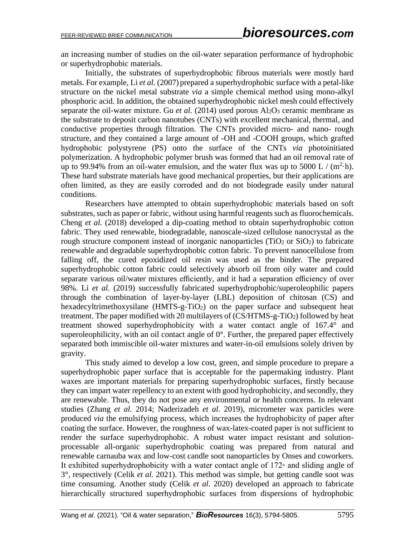an increasing number of studies on the oil-water separation performance of hydrophobic or superhydrophobic materials.

Initially, the substrates of superhydrophobic fibrous materials were mostly hard metals. For example, Li *et al.* (2007) prepared a superhydrophobic surface with a petal-like structure on the nickel metal substrate *via* a simple chemical method using mono-alkyl phosphoric acid. In addition, the obtained superhydrophobic nickel mesh could effectively separate the oil-water mixture. Gu *et al.* (2014) used porous  $Al_2O_3$  ceramic membrane as the substrate to deposit carbon nanotubes (CNTs) with excellent mechanical, thermal, and conductive properties through filtration. The CNTs provided micro- and nano- rough structure, and they contained a large amount of -OH and -COOH groups, which grafted hydrophobic polystyrene (PS) onto the surface of the CNTs *via* photoinitiated polymerization. A hydrophobic polymer brush was formed that had an oil removal rate of up to 99.94% from an oil-water emulsion, and the water flux was up to 5000 L /  $(m^2 \cdot h)$ . These hard substrate materials have good mechanical properties, but their applications are often limited, as they are easily corroded and do not biodegrade easily under natural conditions.

Researchers have attempted to obtain superhydrophobic materials based on soft substrates, such as paper or fabric, without using harmful reagents such as fluorochemicals. Cheng *et al.* (2018) developed a dip-coating method to obtain superhydrophobic cotton fabric. They used renewable, biodegradable, nanoscale-sized cellulose nanocrystal as the rough structure component instead of inorganic nanoparticles (TiO<sub>2</sub> or SiO<sub>2</sub>) to fabricate renewable and degradable superhydrophobic cotton fabric. To prevent nanocellulose from falling off, the cured epoxidized oil resin was used as the binder. The prepared superhydrophobic cotton fabric could selectively absorb oil from oily water and could separate various oil/water mixtures efficiently, and it had a separation efficiency of over 98%. Li *et al.* (2019) successfully fabricated superhydrophobic/superoleophilic papers through the combination of layer-by-layer (LBL) deposition of chitosan (CS) and hexadecyltrimethoxysilane (HMTS-g-TiO<sub>2</sub>) on the paper surface and subsequent heat treatment. The paper modified with 20 multilayers of  $(CS/HTMS-g-TiO<sub>2</sub>)$  followed by heat treatment showed superhydrophobicity with a water contact angle of 167.4° and superoleophilicity, with an oil contact angle of  $0^\circ$ . Further, the prepared paper effectively separated both immiscible oil-water mixtures and water-in-oil emulsions solely driven by gravity.

This study aimed to develop a low cost, green, and simple procedure to prepare a superhydrophobic paper surface that is acceptable for the papermaking industry. Plant waxes are important materials for preparing superhydrophobic surfaces, firstly because they can impart water repellency to an extent with good hydrophobicity, and secondly, they are renewable. Thus, they do not pose any environmental or health concerns. In relevant studies (Zhang *et al.* 2014; Naderizadeh *et al.* 2019), micrometer wax particles were produced *via* the emulsifying process, which increases the hydrophobicity of paper after coating the surface. However, the roughness of wax-latex-coated paper is not sufficient to render the surface superhydrophobic. A robust water impact resistant and solutionprocessable all-organic superhydrophobic coating was prepared from natural and renewable carnauba wax and low-cost candle soot nanoparticles by Onses and coworkers. It exhibited superhydrophobicity with a water contact angle of 172◦ and sliding angle of 3°, respectively (Celik *et al.* 2021). This method was simple, but getting candle soot was time consuming. Another study (Celik *et al.* 2020) developed an approach to fabricate hierarchically structured superhydrophobic surfaces from dispersions of hydrophobic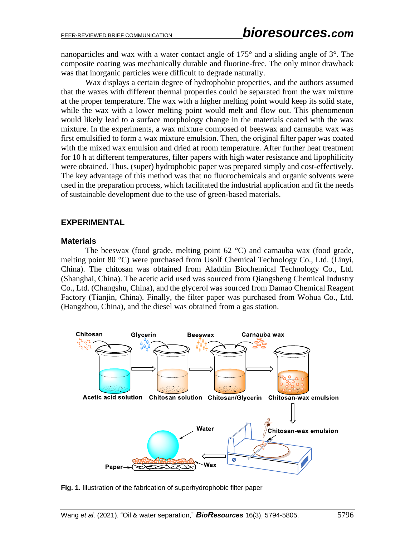nanoparticles and wax with a water contact angle of 175° and a sliding angle of 3°. The composite coating was mechanically durable and fluorine-free. The only minor drawback was that inorganic particles were difficult to degrade naturally.

Wax displays a certain degree of hydrophobic properties, and the authors assumed that the waxes with different thermal properties could be separated from the wax mixture at the proper temperature. The wax with a higher melting point would keep its solid state, while the wax with a lower melting point would melt and flow out. This phenomenon would likely lead to a surface morphology change in the materials coated with the wax mixture. In the experiments, a wax mixture composed of beeswax and carnauba wax was first emulsified to form a wax mixture emulsion. Then, the original filter paper was coated with the mixed wax emulsion and dried at room temperature. After further heat treatment for 10 h at different temperatures, filter papers with high water resistance and lipophilicity were obtained. Thus, (super) hydrophobic paper was prepared simply and cost-effectively. The key advantage of this method was that no fluorochemicals and organic solvents were used in the preparation process, which facilitated the industrial application and fit the needs of sustainable development due to the use of green-based materials.

## **EXPERIMENTAL**

#### **Materials**

The beeswax (food grade, melting point  $62 \degree C$ ) and carnauba wax (food grade, melting point 80 °C) were purchased from Usolf Chemical Technology Co., Ltd. (Linyi, China). The chitosan was obtained from Aladdin Biochemical Technology Co., Ltd. (Shanghai, China). The acetic acid used was sourced from Qiangsheng Chemical Industry Co., Ltd. (Changshu, China), and the glycerol was sourced from Damao Chemical Reagent Factory (Tianjin, China). Finally, the filter paper was purchased from Wohua Co., Ltd. (Hangzhou, China), and the diesel was obtained from a gas station.



**Fig. 1.** Illustration of the fabrication of superhydrophobic filter paper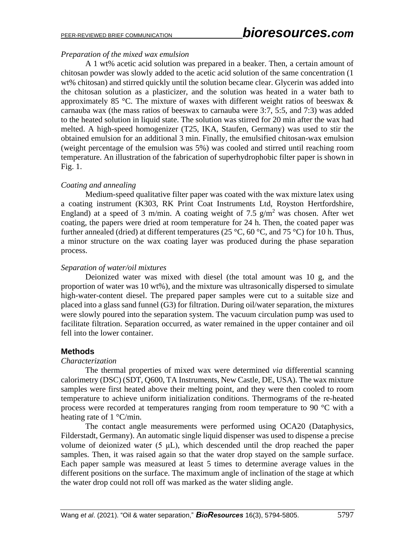#### *Preparation of the mixed wax emulsion*

A 1 wt% acetic acid solution was prepared in a beaker. Then, a certain amount of chitosan powder was slowly added to the acetic acid solution of the same concentration (1 wt% chitosan) and stirred quickly until the solution became clear. Glycerin was added into the chitosan solution as a plasticizer, and the solution was heated in a water bath to approximately 85 °C. The mixture of waxes with different weight ratios of beeswax  $\&$ carnauba wax (the mass ratios of beeswax to carnauba were 3:7, 5:5, and 7:3) was added to the heated solution in liquid state. The solution was stirred for 20 min after the wax had melted. A high-speed homogenizer (T25, IKA, Staufen, Germany) was used to stir the obtained emulsion for an additional 3 min. Finally, the emulsified chitosan-wax emulsion (weight percentage of the emulsion was 5%) was cooled and stirred until reaching room temperature. An illustration of the fabrication of superhydrophobic filter paper is shown in Fig. 1.

#### *Coating and annealing*

Medium-speed qualitative filter paper was coated with the wax mixture latex using a coating instrument (K303, RK Print Coat Instruments Ltd, Royston Hertfordshire, England) at a speed of 3 m/min. A coating weight of 7.5  $g/m<sup>2</sup>$  was chosen. After wet coating, the papers were dried at room temperature for 24 h. Then, the coated paper was further annealed (dried) at different temperatures (25 °C, 60 °C, and 75 °C) for 10 h. Thus, a minor structure on the wax coating layer was produced during the phase separation process.

#### *Separation of water/oil mixtures*

Deionized water was mixed with diesel (the total amount was 10 g, and the proportion of water was 10 wt%), and the mixture was ultrasonically dispersed to simulate high-water-content diesel. The prepared paper samples were cut to a suitable size and placed into a glass sand funnel (G3) for filtration. During oil/water separation, the mixtures were slowly poured into the separation system. The vacuum circulation pump was used to facilitate filtration. Separation occurred, as water remained in the upper container and oil fell into the lower container.

#### **Methods**

#### *Characterization*

The thermal properties of mixed wax were determined *via* differential scanning calorimetry (DSC) (SDT, Q600, TA Instruments, New Castle, DE, USA). The wax mixture samples were first heated above their melting point, and they were then cooled to room temperature to achieve uniform initialization conditions. Thermograms of the re-heated process were recorded at temperatures ranging from room temperature to 90 °C with a heating rate of 1 °C/min.

The contact angle measurements were performed using OCA20 (Dataphysics, Filderstadt, Germany). An automatic single liquid dispenser was used to dispense a precise volume of deionized water  $(5 \mu L)$ , which descended until the drop reached the paper samples. Then, it was raised again so that the water drop stayed on the sample surface. Each paper sample was measured at least 5 times to determine average values in the different positions on the surface. The maximum angle of inclination of the stage at which the water drop could not roll off was marked as the water sliding angle.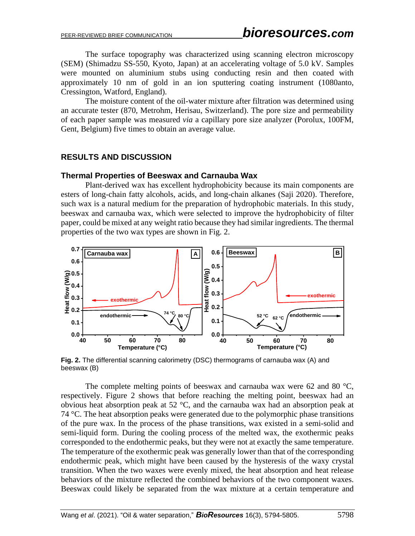The surface topography was characterized using scanning electron microscopy (SEM) (Shimadzu SS-550, Kyoto, Japan) at an accelerating voltage of 5.0 kV. Samples were mounted on aluminium stubs using conducting resin and then coated with approximately 10 nm of gold in an ion sputtering coating instrument (1080anto, Cressington, Watford, England).

The moisture content of the oil-water mixture after filtration was determined using an accurate tester (870, Metrohm, Herisau, Switzerland). The pore size and permeability of each paper sample was measured *via* a capillary pore size analyzer (Porolux, 100FM, Gent, Belgium) five times to obtain an average value.

### **RESULTS AND DISCUSSION**

#### **Thermal Properties of Beeswax and Carnauba Wax**

Plant-derived wax has excellent hydrophobicity because its main components are esters of long-chain fatty alcohols, acids, and long-chain alkanes (Saji 2020). Therefore, such wax is a natural medium for the preparation of hydrophobic materials. In this study, beeswax and carnauba wax, which were selected to improve the hydrophobicity of filter paper, could be mixed at any weight ratio because they had similar ingredients. The thermal properties of the two wax types are shown in Fig. 2.



**Fig. 2.** The differential scanning calorimetry (DSC) thermograms of carnauba wax (A) and beeswax (B)

The complete melting points of beeswax and carnauba wax were 62 and 80  $^{\circ}C$ , respectively. Figure 2 shows that before reaching the melting point, beeswax had an obvious heat absorption peak at 52 °C, and the carnauba wax had an absorption peak at 74 °C. The heat absorption peaks were generated due to the polymorphic phase transitions of the pure wax. In the process of the phase transitions, wax existed in a semi-solid and semi-liquid form. During the cooling process of the melted wax, the exothermic peaks corresponded to the endothermic peaks, but they were not at exactly the same temperature. The temperature of the exothermic peak was generally lower than that of the corresponding endothermic peak, which might have been caused by the hysteresis of the waxy crystal transition. When the two waxes were evenly mixed, the heat absorption and heat release behaviors of the mixture reflected the combined behaviors of the two component waxes. Beeswax could likely be separated from the wax mixture at a certain temperature and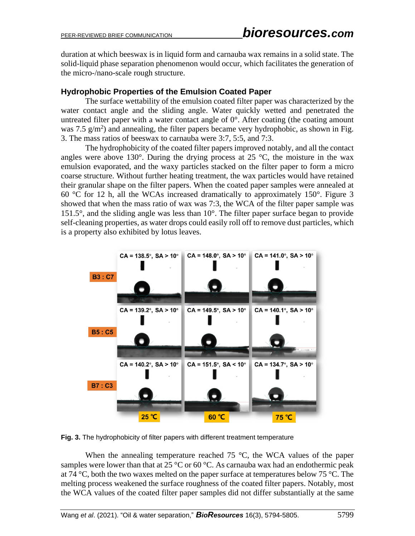duration at which beeswax is in liquid form and carnauba wax remains in a solid state. The solid-liquid phase separation phenomenon would occur, which facilitates the generation of the micro-/nano-scale rough structure.

#### **Hydrophobic Properties of the Emulsion Coated Paper**

The surface wettability of the emulsion coated filter paper was characterized by the water contact angle and the sliding angle. Water quickly wetted and penetrated the untreated filter paper with a water contact angle of  $0^\circ$ . After coating (the coating amount was 7.5  $g/m<sup>2</sup>$ ) and annealing, the filter papers became very hydrophobic, as shown in Fig. 3. The mass ratios of beeswax to carnauba were 3:7, 5:5, and 7:3.

The hydrophobicity of the coated filter papers improved notably, and all the contact angles were above 130 $^{\circ}$ . During the drying process at 25 $^{\circ}$ C, the moisture in the wax emulsion evaporated, and the waxy particles stacked on the filter paper to form a micro coarse structure. Without further heating treatment, the wax particles would have retained their granular shape on the filter papers. When the coated paper samples were annealed at 60 °C for 12 h, all the WCAs increased dramatically to approximately 150°. Figure 3 showed that when the mass ratio of wax was 7:3, the WCA of the filter paper sample was 151.5°, and the sliding angle was less than 10°. The filter paper surface began to provide self-cleaning properties, as water drops could easily roll off to remove dust particles, which is a property also exhibited by lotus leaves.



**Fig. 3.** The hydrophobicity of filter papers with different treatment temperature

When the annealing temperature reached  $75 \text{ °C}$ , the WCA values of the paper samples were lower than that at 25  $\degree$ C or 60  $\degree$ C. As carnauba wax had an endothermic peak at 74 °C, both the two waxes melted on the paper surface at temperatures below 75 °C. The melting process weakened the surface roughness of the coated filter papers. Notably, most the WCA values of the coated filter paper samples did not differ substantially at the same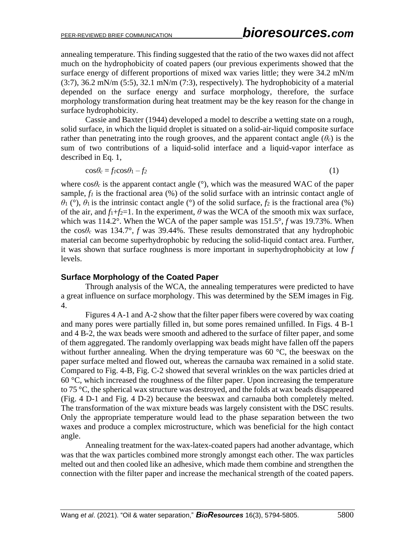annealing temperature. This finding suggested that the ratio of the two waxes did not affect much on the hydrophobicity of coated papers (our previous experiments showed that the surface energy of different proportions of mixed wax varies little; they were 34.2 mN/m  $(3:7)$ , 36.2 mN/m  $(5:5)$ , 32.1 mN/m  $(7:3)$ , respectively). The hydrophobicity of a material depended on the surface energy and surface morphology, therefore, the surface morphology transformation during heat treatment may be the key reason for the change in surface hydrophobicity.

Cassie and Baxter (1944) developed a model to describe a wetting state on a rough, solid surface, in which the liquid droplet is situated on a solid-air-liquid composite surface rather than penetrating into the rough grooves, and the apparent contact angle  $(\theta_c)$  is the sum of two contributions of a liquid-solid interface and a liquid-vapor interface as described in Eq. 1,

$$
\cos \theta_c = f_l \cos \theta_1 - f_2 \tag{1}
$$

where  $\cos\theta_c$  is the apparent contact angle ( $\degree$ ), which was the measured WAC of the paper sample,  $f_l$  is the fractional area  $(\%)$  of the solid surface with an intrinsic contact angle of *θ*<sub>1</sub> (°), *θ*<sub>1</sub> is the intrinsic contact angle (°) of the solid surface, *f*<sub>2</sub> is the fractional area (%) of the air, and  $f_1+f_2=1$ . In the experiment,  $\theta$  was the WCA of the smooth mix wax surface, which was 114.2°. When the WCA of the paper sample was 151.5°, *f* was 19.73%. When the  $\cos\theta_c$  was 134.7°, *f* was 39.44%. These results demonstrated that any hydrophobic material can become superhydrophobic by reducing the solid-liquid contact area. Further, it was shown that surface roughness is more important in superhydrophobicity at low *f* levels.

#### **Surface Morphology of the Coated Paper**

Through analysis of the WCA, the annealing temperatures were predicted to have a great influence on surface morphology. This was determined by the SEM images in Fig. 4.

Figures 4 A-1 and A-2 show that the filter paper fibers were covered by wax coating and many pores were partially filled in, but some pores remained unfilled. In Figs. 4 B-1 and 4 B-2, the wax beads were smooth and adhered to the surface of filter paper, and some of them aggregated. The randomly overlapping wax beads might have fallen off the papers without further annealing. When the drying temperature was  $60^{\circ}$ C, the beeswax on the paper surface melted and flowed out, whereas the carnauba wax remained in a solid state. Compared to Fig. 4-B, Fig. C-2 showed that several wrinkles on the wax particles dried at 60 °C, which increased the roughness of the filter paper. Upon increasing the temperature to 75 °C, the spherical wax structure was destroyed, and the folds at wax beads disappeared (Fig. 4 D-1 and Fig. 4 D-2) because the beeswax and carnauba both completely melted. The transformation of the wax mixture beads was largely consistent with the DSC results. Only the appropriate temperature would lead to the phase separation between the two waxes and produce a complex microstructure, which was beneficial for the high contact angle.

Annealing treatment for the wax-latex-coated papers had another advantage, which was that the wax particles combined more strongly amongst each other. The wax particles melted out and then cooled like an adhesive, which made them combine and strengthen the connection with the filter paper and increase the mechanical strength of the coated papers.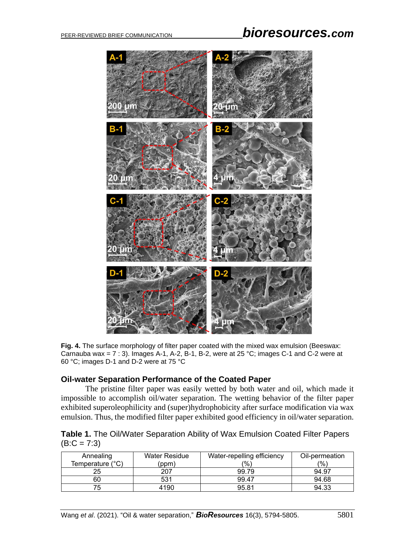# PEER-REVIEWED BRIEF COMMUNICATION *bioresources.com*



**Fig. 4.** The surface morphology of filter paper coated with the mixed wax emulsion (Beeswax: Carnauba wax =  $7:3$ ). Images A-1, A-2, B-1, B-2, were at 25 °C; images C-1 and C-2 were at 60 °C; images D-1 and D-2 were at 75 °C

#### **Oil-water Separation Performance of the Coated Paper**

The pristine filter paper was easily wetted by both water and oil, which made it impossible to accomplish oil/water separation. The wetting behavior of the filter paper exhibited superoleophilicity and (super)hydrophobicity after surface modification via wax emulsion. Thus, the modified filter paper exhibited good efficiency in oil/water separation.

| Table 1. The Oil/Water Separation Ability of Wax Emulsion Coated Filter Papers |  |  |  |  |
|--------------------------------------------------------------------------------|--|--|--|--|
| $(B:C = 7:3)$                                                                  |  |  |  |  |

| Annealing        | <b>Water Residue</b> | Water-repelling efficiency | Oil-permeation |
|------------------|----------------------|----------------------------|----------------|
| Temperature (°C) | ppm                  | $\frac{1}{2}$              | $\frac{1}{2}$  |
|                  | 207                  | 99.79                      | 94.97          |
| 60               | 531                  | 99.47                      | 94.68          |
|                  | 4190                 | 95.81                      | 94.33          |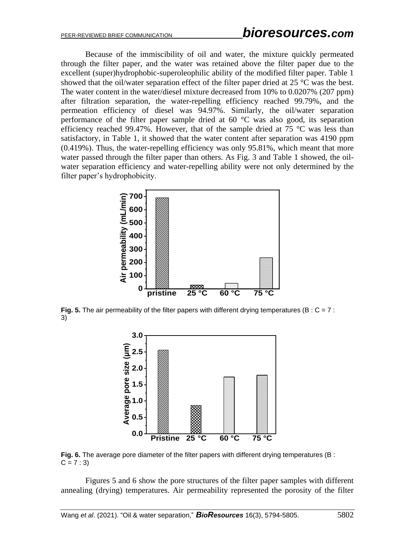Because of the immiscibility of oil and water, the mixture quickly permeated through the filter paper, and the water was retained above the filter paper due to the excellent (super)hydrophobic-superoleophilic ability of the modified filter paper. Table 1 showed that the oil/water separation effect of the filter paper dried at  $25 \degree C$  was the best. The water content in the water/diesel mixture decreased from 10% to 0.0207% (207 ppm) after filtration separation, the water-repelling efficiency reached 99.79%, and the permeation efficiency of diesel was 94.97%. Similarly, the oil/water separation performance of the filter paper sample dried at 60 °C was also good, its separation efficiency reached 99.47%. However, that of the sample dried at 75  $\degree$ C was less than satisfactory, in Table 1, it showed that the water content after separation was 4190 ppm (0.419%). Thus, the water-repelling efficiency was only 95.81%, which meant that more water passed through the filter paper than others. As Fig. 3 and Table 1 showed, the oilwater separation efficiency and water-repelling ability were not only determined by the filter paper's hydrophobicity.



**Fig. 5.** The air permeability of the filter papers with different drying temperatures ( $B : C = 7$ : 3)



**Fig. 6.** The average pore diameter of the filter papers with different drying temperatures (B :  $C = 7 : 3$ 

Figures 5 and 6 show the pore structures of the filter paper samples with different annealing (drying) temperatures. Air permeability represented the porosity of the filter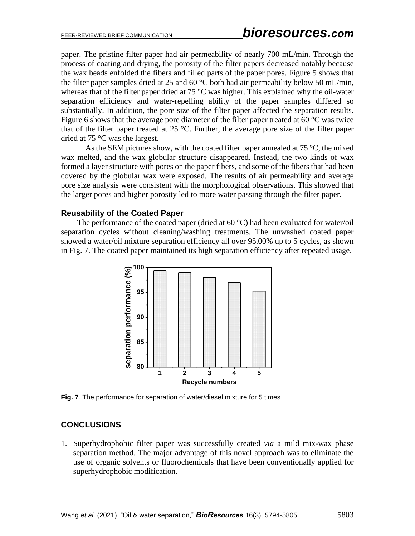paper. The pristine filter paper had air permeability of nearly 700 mL/min. Through the process of coating and drying, the porosity of the filter papers decreased notably because the wax beads enfolded the fibers and filled parts of the paper pores. Figure 5 shows that the filter paper samples dried at 25 and 60 °C both had air permeability below 50 mL/min, whereas that of the filter paper dried at 75 °C was higher. This explained why the oil-water separation efficiency and water-repelling ability of the paper samples differed so substantially. In addition, the pore size of the filter paper affected the separation results. Figure 6 shows that the average pore diameter of the filter paper treated at 60 °C was twice that of the filter paper treated at 25 °C. Further, the average pore size of the filter paper dried at 75 °C was the largest.

As the SEM pictures show, with the coated filter paper annealed at 75 °C, the mixed wax melted, and the wax globular structure disappeared. Instead, the two kinds of wax formed a layer structure with pores on the paper fibers, and some of the fibers that had been covered by the globular wax were exposed. The results of air permeability and average pore size analysis were consistent with the morphological observations. This showed that the larger pores and higher porosity led to more water passing through the filter paper.

#### **Reusability of the Coated Paper**

The performance of the coated paper (dried at  $60^{\circ}$ C) had been evaluated for water/oil separation cycles without cleaning/washing treatments. The unwashed coated paper showed a water/oil mixture separation efficiency all over 95.00% up to 5 cycles, as shown in Fig. 7. The coated paper maintained its high separation efficiency after repeated usage.



**Fig. 7**. The performance for separation of water/diesel mixture for 5 times

## **CONCLUSIONS**

1. Superhydrophobic filter paper was successfully created *via* a mild mix-wax phase separation method. The major advantage of this novel approach was to eliminate the use of organic solvents or fluorochemicals that have been conventionally applied for superhydrophobic modification.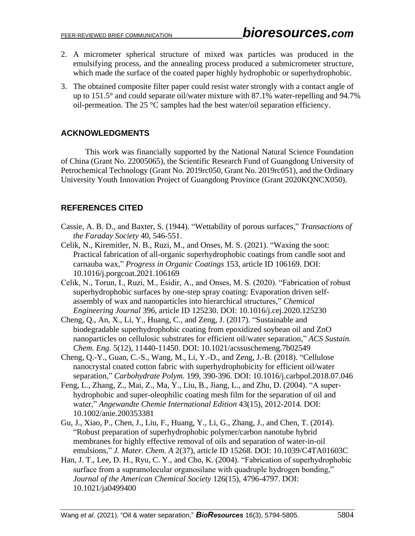- 2. A micrometer spherical structure of mixed wax particles was produced in the emulsifying process, and the annealing process produced a submicrometer structure, which made the surface of the coated paper highly hydrophobic or superhydrophobic.
- 3. The obtained composite filter paper could resist water strongly with a contact angle of up to 151.5° and could separate oil/water mixture with 87.1% water-repelling and 94.7% oil-permeation. The 25  $\degree$ C samples had the best water/oil separation efficiency.

## **ACKNOWLEDGMENTS**

This work was financially supported by the National Natural Science Foundation of China (Grant No. 22005065), the Scientific Research Fund of Guangdong University of Petrochemical Technology (Grant No. 2019rc050, Grant No. 2019rc051), and the Ordinary University Youth Innovation Project of Guangdong Province (Grant 2020KQNCX050).

## **REFERENCES CITED**

- Cassie, A. B. D., and Baxter, S. (1944). "Wettability of porous surfaces," *Transactions of the Faraday Society* 40, 546-551.
- Celik, N., Kiremitler, N. B., Ruzi, M., and Onses, M. S. (2021). "Waxing the soot: Practical fabrication of all-organic superhydrophobic coatings from candle soot and carnauba wax," *Progress in Organic Coatings* 153, article ID 106169. DOI: 10.1016/j.porgcoat.2021.106169
- Celik, N., Torun, I., Ruzi, M., Esidir, A., and Onses, M. S. (2020). "Fabrication of robust superhydrophobic surfaces by one-step spray coating: Evaporation driven selfassembly of wax and nanoparticles into hierarchical structures," *Chemical Engineering Journal* 396, article ID 125230. DOI: 10.1016/j.cej.2020.125230
- Cheng, Q., An, X., Li, Y., Huang, C., and Zeng, J. (2017). "Sustainable and biodegradable superhydrophobic coating from epoxidized soybean oil and ZnO nanoparticles on cellulosic substrates for efficient oil/water separation," *ACS Sustain. Chem. Eng.* 5(12), 11440-11450. DOI: 10.1021/acssuschemeng.7b02549
- Cheng, Q.-Y., Guan, C.-S., Wang, M., Li, Y.-D., and Zeng, J.-B. (2018). "Cellulose nanocrystal coated cotton fabric with superhydrophobicity for efficient oil/water separation," *Carbohydrate Polym.* 199, 390-396. DOI: 10.1016/j.carbpol.2018.07.046
- Feng, L., Zhang, Z., Mai, Z., Ma, Y., Liu, B., Jiang, L., and Zhu, D. (2004). "A superhydrophobic and super-oleophilic coating mesh film for the separation of oil and water," *Angewandte Chemie International Edition* 43(15), 2012-2014. DOI: 10.1002/anie.200353381
- Gu, J., Xiao, P., Chen, J., Liu, F., Huang, Y., Li, G., Zhang, J., and Chen, T. (2014). "Robust preparation of superhydrophobic polymer/carbon nanotube hybrid membranes for highly effective removal of oils and separation of water-in-oil emulsions," *J. Mater. Chem. A* 2(37), article ID 15268. DOI: 10.1039/C4TA01603C
- Han, J. T., Lee, D. H., Ryu, C. Y., and Cho, K. (2004). "Fabrication of superhydrophobic surface from a supramolecular organosilane with quadruple hydrogen bonding," *Journal of the American Chemical Society* 126(15), 4796-4797. DOI: 10.1021/ja0499400